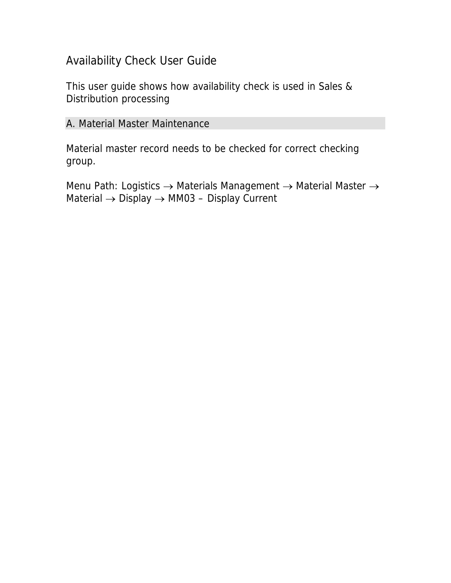## Availability Check User Guide

This user guide shows how availability check is used in Sales & Distribution processing

## A. Material Master Maintenance

Material master record needs to be checked for correct checking group.

Menu Path: Logistics → Materials Management → Material Master → Material → Display → MM03 – Display Current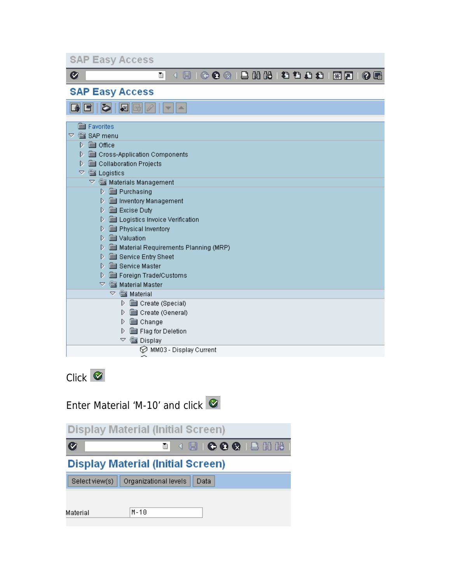| <b>SAP Easy Access</b>                                                                                                       |
|------------------------------------------------------------------------------------------------------------------------------|
| 8   0 0 0 1 8 8 8 8 8 8 9 8 9 8 9 8 9 8 9 8<br>Ø<br>ū<br>◁                                                                   |
| <b>SAP Easy Access</b>                                                                                                       |
| KI<br>⋗<br>┻                                                                                                                 |
| <b>SSSI</b> Favorites<br>SAP menu<br>▽                                                                                       |
| <b>is Office</b><br>D<br>Cross-Application Components<br>D<br>Collaboration Projects<br>D                                    |
| <b>WE Logistics</b><br>▽<br>$\heartsuit$ $\overset{\mathbb{C}\mathbb{C}}{\cong}$ Materials Management<br>े  Purchasing<br>D. |
| Inventory Management<br>D<br><b>B</b> Excise Duty<br>D<br>Logistics Invoice Verification<br>D                                |
| Physical Inventory<br>D<br><b>Solution</b><br>D                                                                              |
| Material Requirements Planning (MRP)<br>D<br>Service Entry Sheet<br>D<br><b>Service Master</b><br>D                          |
| Foreign Trade/Customs<br>D<br>$\triangledown$ $\mathcal{C}$ Material Master<br><b>SE</b> Material<br>A                       |
| Create (Special)<br>D<br>Create (General)<br>D<br>Change<br>D                                                                |
| Flag for Deletion<br>D<br><b>Solution</b> Display<br>▽                                                                       |
| MM03 - Display Current                                                                                                       |

Click **C** 

|                | Enter Material 'M-10' and click $\heartsuit$ |
|----------------|----------------------------------------------|
|                | <b>Display Material (Initial Screen)</b>     |
| Ø              | ◁ ; ;   © © ©   □ ;; }<br>ē.                 |
|                | <b>Display Material (Initial Screen)</b>     |
| Select view(s) | Organizational levels<br>Data                |
|                |                                              |
| Material       | $M-10$                                       |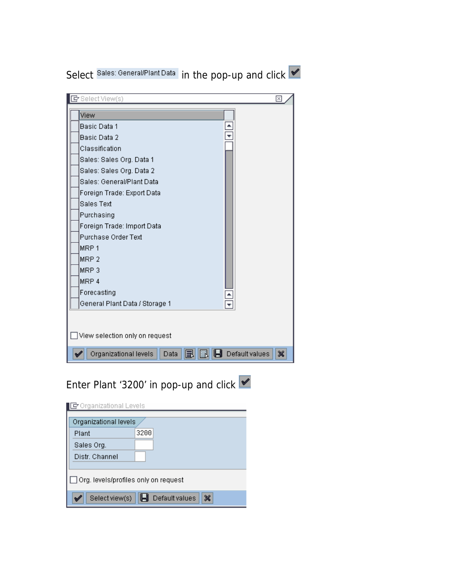Select Sales: General/Plant Data in the pop-up and click

| G Select View(s)                      | ⊠                            |
|---------------------------------------|------------------------------|
| View                                  |                              |
| Basic Data 1                          |                              |
| Basic Data 2                          |                              |
| Classification                        |                              |
| Sales: Sales Org. Data 1              |                              |
| Sales: Sales Org. Data 2              |                              |
| Sales: General/Plant Data             |                              |
| Foreign Trade: Export Data            |                              |
| Sales Text                            |                              |
| Purchasing                            |                              |
| Foreign Trade: Import Data            |                              |
| Purchase Order Text                   |                              |
| MRP <sub>1</sub>                      |                              |
| MRP <sub>2</sub>                      |                              |
| MRP <sub>3</sub>                      |                              |
| MRP 4                                 |                              |
| Forecasting                           |                              |
| General Plant Data / Storage 1        |                              |
|                                       |                              |
| $\Box$ View selection only on request |                              |
| Organizational levels<br>Data         | <b>H</b> Default values<br>× |

Enter Plant '3200' in pop-up and click

| $\mathbb F$ Organizational Levels           |      |  |  |  |  |  |
|---------------------------------------------|------|--|--|--|--|--|
| Organizational levels                       |      |  |  |  |  |  |
| Plant                                       | 3200 |  |  |  |  |  |
| Sales Org.                                  |      |  |  |  |  |  |
| Distr. Channel                              |      |  |  |  |  |  |
|                                             |      |  |  |  |  |  |
| $\Box$ Org. levels/profiles only on request |      |  |  |  |  |  |
| ×<br>Default values<br>Select view(s)       |      |  |  |  |  |  |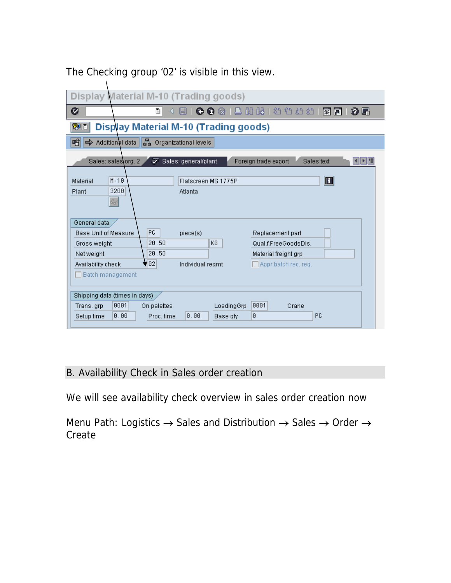| Display Material M-10 (Trading goods)                                                                                                                                                                                                                                                 |  |  |  |  |  |  |  |  |
|---------------------------------------------------------------------------------------------------------------------------------------------------------------------------------------------------------------------------------------------------------------------------------------|--|--|--|--|--|--|--|--|
| Ø<br><b>出出 2 むむむむ</b><br>◔◐⊗<br>※回<br>0 E<br>ū                                                                                                                                                                                                                                        |  |  |  |  |  |  |  |  |
| Display Material M-10 (Trading goods)<br>駒目                                                                                                                                                                                                                                           |  |  |  |  |  |  |  |  |
| 롦<br>噌<br>Additional data<br>Organizational levels<br>➾                                                                                                                                                                                                                               |  |  |  |  |  |  |  |  |
| Sales: general/plant<br>Foreign trade export<br>Sales: sales\org. 2<br>Sales text<br>⋗<br>HIE                                                                                                                                                                                         |  |  |  |  |  |  |  |  |
| $\bf{E}$<br>$M - 10$<br>Material<br>Flatscreen MS 1775P<br>3200<br>Plant<br>Atlanta<br>$60^{\circ}$                                                                                                                                                                                   |  |  |  |  |  |  |  |  |
| General data<br>PC.<br><b>Base Unit of Measure</b><br>Replacement part<br>piece(s)<br>20.50<br>KG<br>Gross weight<br>Qual.f.FreeGoodsDis.<br>20.50<br>Net weight<br>Material freight grp<br>102<br>Availability check<br>Individual regmt<br>Appr.batch rec. req.<br>Batch management |  |  |  |  |  |  |  |  |
| Shipping data (times in days)<br>0001<br>0001<br>On palettes<br>LoadingGrp<br>Crane<br>Trans, grp<br>PC<br>0.00<br> 0.00 <br>0<br>Proc. time<br>Setup time<br>Base qty                                                                                                                |  |  |  |  |  |  |  |  |

The Checking group '02' is visible in this view.

 $\lambda$ 

## B. Availability Check in Sales order creation

We will see availability check overview in sales order creation now

Menu Path: Logistics  $\rightarrow$  Sales and Distribution  $\rightarrow$  Sales  $\rightarrow$  Order  $\rightarrow$ Create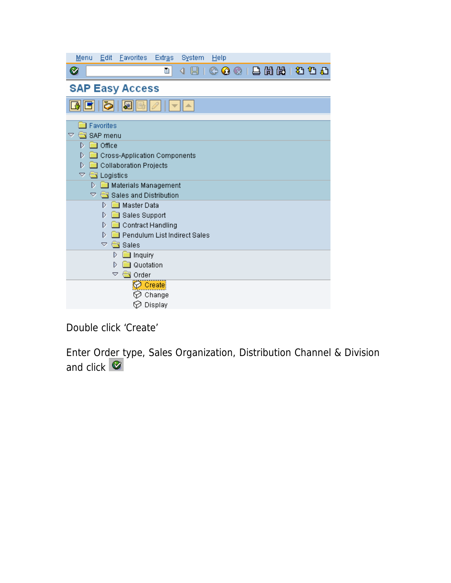| Eavorites<br>Menu<br>Edit<br><b>Extras</b><br>System<br>Help |
|--------------------------------------------------------------|
| COCIBHHBDD<br>Ø<br>ū<br>u<br>◁                               |
| <b>SAP Easy Access</b>                                       |
| ð<br>屬                                                       |
| Favorites<br>SAP menu<br>▽                                   |
| <b>a</b> Office<br>D.                                        |
| D<br>Cross-Application Components                            |
| Collaboration Projects<br>D                                  |
| $\triangledown$ $\blacksquare$ Logistics                     |
| Materials Management<br>D.                                   |
| $\triangledown$ $\blacksquare$ Sales and Distribution        |
| Master Data<br>D                                             |
| Sales Support<br>D                                           |
| Contract Handling<br>D                                       |
| Pendulum List Indirect Sales<br>D.                           |
| $\triangledown$ $\blacksquare$ Sales                         |
| D<br>lnquiry                                                 |
| Quotation<br>D                                               |
| ▽<br><b>Solution</b> Order                                   |
| Create                                                       |
| Change                                                       |
| Display<br>♡                                                 |

Double click 'Create'

Enter Order type, Sales Organization, Distribution Channel & Division and click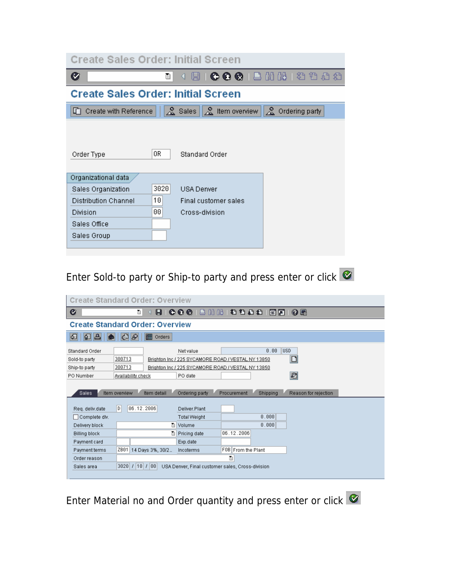|                             | <b>Create Sales Order: Initial Screen</b>                                        |  |
|-----------------------------|----------------------------------------------------------------------------------|--|
| Ø                           | 4 R   C C Q   L H H H D O O O<br>ū                                               |  |
|                             | <b>Create Sales Order: Initial Screen</b>                                        |  |
| Create with Reference<br>L٢ | $\infty$<br>$\mathbb{R}$ Sales<br>$\frac{8}{24}$ Item overview<br>Ordering party |  |
|                             |                                                                                  |  |
|                             |                                                                                  |  |
| Order Type                  | 0R<br>Standard Order                                                             |  |
| Organizational data         |                                                                                  |  |
| Sales Organization          | 3020<br><b>USA Denver</b>                                                        |  |
| Distribution Channel        | 10<br>Final customer sales                                                       |  |
| Division                    | 00<br>Cross-division                                                             |  |
| Sales Office                |                                                                                  |  |
| Sales Group                 |                                                                                  |  |
|                             |                                                                                  |  |

Enter Sold-to party or Ship-to party and press enter or click

|                                                               | <b>Create Standard Order: Overview</b> |                       |                                                                                                                                  |             |                    |                      |  |  |  |
|---------------------------------------------------------------|----------------------------------------|-----------------------|----------------------------------------------------------------------------------------------------------------------------------|-------------|--------------------|----------------------|--|--|--|
| Ø                                                             |                                        | Ò<br>ы                | GGG   B H H H D D D D                                                                                                            |             | ※ 2                | 0 E                  |  |  |  |
| <b>Create Standard Order: Overview</b>                        |                                        |                       |                                                                                                                                  |             |                    |                      |  |  |  |
| 椢<br> E <br>$\mathbf{B}$                                      | $\mathbb{G}[\mathscr{P}]$              | <b>TH</b> Orders      |                                                                                                                                  |             |                    |                      |  |  |  |
| Standard Order<br>Sold-to party<br>Ship-to party<br>PO Number | 300713<br>300713                       | Availability check    | Net value<br>Brighton Inc / 225 SYCAMORE ROAD / VESTAL NY 13850<br>Brighton Inc / 225 SYCAMORE ROAD / VESTAL NY 13850<br>PO date |             | 0.00               | lusd.<br>₽           |  |  |  |
| <b>Sales</b>                                                  | Item overview                          | Item detail           | Ordering party                                                                                                                   | Procurement | Shipping           | Reason for rejection |  |  |  |
| Req. deliv.date<br>□ Complete dlv.                            | D                                      | 06.12.2006            | Deliver Plant<br><b>Total Weight</b>                                                                                             |             | 0.000              |                      |  |  |  |
| Delivery block                                                |                                        | 画                     | Volume                                                                                                                           |             | 0.000              |                      |  |  |  |
| <b>Billing block</b>                                          |                                        | E)                    | Pricing date                                                                                                                     | 06.12.2006  |                    |                      |  |  |  |
| Payment card                                                  |                                        |                       | Exp.date                                                                                                                         |             |                    |                      |  |  |  |
| Payment terms                                                 |                                        | ZB01 14 Days 3%, 30/2 | Incoterms                                                                                                                        |             | F0B From the Plant |                      |  |  |  |
| Order reason                                                  | 圁                                      |                       |                                                                                                                                  |             |                    |                      |  |  |  |
| Sales area                                                    |                                        | 3020 7 10 7 00        | USA Denver, Final customer sales, Cross-division.                                                                                |             |                    |                      |  |  |  |

Enter Material no and Order quantity and press enter or click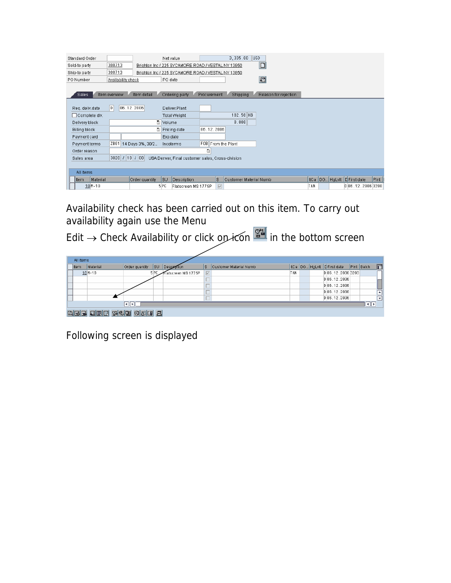| Standard Order           |                                    |     | Net value                                          |             |                    | 3,335.00               | <b>USD</b> |                      |     |  |                               |      |
|--------------------------|------------------------------------|-----|----------------------------------------------------|-------------|--------------------|------------------------|------------|----------------------|-----|--|-------------------------------|------|
| Sold-to party            | 300713                             |     | Brighton Inc / 225 SYCAMORE ROAD / VESTAL NY 13850 |             |                    |                        |            | $\Box$               |     |  |                               |      |
| Ship-to party            | 300713                             |     | Brighton Inc / 225 SYCAMORE ROAD / VESTAL NY 13850 |             |                    |                        |            |                      |     |  |                               |      |
| PO Number                | Availability check                 |     | PO date                                            |             |                    |                        |            | $\mathbf{E}$         |     |  |                               |      |
| <b>Sales</b>             | Item detail<br>Item overview       |     | Ordering party                                     | Procurement |                    | Shipping               |            | Reason for rejection |     |  |                               |      |
| Req. deliv.date          | $\vert$ <sub>D</sub><br>06.12.2006 |     | Deliver.Plant                                      |             |                    |                        |            |                      |     |  |                               |      |
| □ Complete dlv.          |                                    |     | <b>Total Weight</b>                                |             |                    | 102.50 KG              |            |                      |     |  |                               |      |
| Delivery block           |                                    | Ē   | Volume                                             |             |                    | 0.000                  |            |                      |     |  |                               |      |
| <b>Billing block</b>     |                                    | 圕   | Pricing date                                       | 06.12.2006  |                    |                        |            |                      |     |  |                               |      |
| Payment card             |                                    |     | Exp.date                                           |             |                    |                        |            |                      |     |  |                               |      |
| Payment terms            | ZB01   14 Days 3%, 30/2            |     | Incoterms                                          |             | FOB From the Plant |                        |            |                      |     |  |                               |      |
| Order reason             |                                    |     |                                                    | ū           |                    |                        |            |                      |     |  |                               |      |
| Sales area               | 3020 / 10 / 00                     |     | USA Denver, Final customer sales, Cross-division.  |             |                    |                        |            |                      |     |  |                               |      |
|                          |                                    |     |                                                    |             |                    |                        |            |                      |     |  |                               |      |
| All items                |                                    |     |                                                    |             |                    |                        |            |                      |     |  |                               |      |
| <b>I</b> tem<br>Material | Order quantity                     |     | SU<br>Description                                  |             | ls.                | Customer Material Numb |            |                      |     |  | ItCa DG HgLvIt   D First date | PInt |
| $10M - 10$               |                                    | 5PC | Flatscreen MS 1775P                                |             | $\overline{\vee}$  |                        |            |                      | TAN |  | D 06.12.2006 3200             |      |

Availability check has been carried out on this item. To carry out availability again use the Menu

Edit → Check Availability or click on icon streament in the bottom screen

|                         | All items        |                |                 |                     |                   |                        |            |  |  |  |                             |            |                          |
|-------------------------|------------------|----------------|-----------------|---------------------|-------------------|------------------------|------------|--|--|--|-----------------------------|------------|--------------------------|
| <b>Item</b>             | Material         | Order quantity | lsu             | Description         | ls.               | Customer Material Numb |            |  |  |  | ItCa DG HgLvlt C First date | Pint Batch | m                        |
|                         | $10M - 10$       |                | 5 <sub>PC</sub> | Flatscreen MS 1775P | $\overline{\vee}$ |                        | <b>TAN</b> |  |  |  | D 06.12.2006 3200           |            |                          |
|                         |                  |                |                 |                     |                   |                        |            |  |  |  | D 06.12.2006                |            |                          |
|                         |                  |                |                 |                     |                   |                        |            |  |  |  | D 06.12.2006                |            |                          |
|                         |                  |                |                 |                     |                   |                        |            |  |  |  | D 06.12.2006                |            | $\overline{ }$           |
|                         |                  |                |                 |                     |                   |                        |            |  |  |  | D[06.12.2006]               |            | $\overline{\phantom{a}}$ |
| $  \cdot   $<br>-til ki |                  |                |                 |                     |                   |                        |            |  |  |  |                             |            |                          |
|                         | GREEHR 1995 ONBE |                |                 |                     |                   |                        |            |  |  |  |                             |            |                          |

Following screen is displayed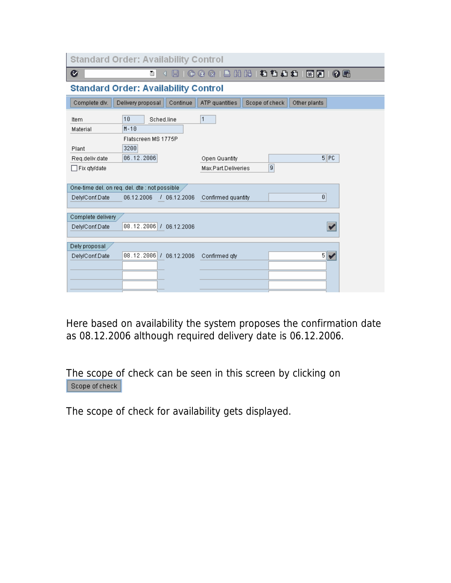| <b>Standard Order: Availability Control</b>                                                                              |                                                  |  |  |  |  |  |  |  |  |
|--------------------------------------------------------------------------------------------------------------------------|--------------------------------------------------|--|--|--|--|--|--|--|--|
| Ø<br>ū<br>O                                                                                                              | 尚出 名色色岩 照面<br>0 E<br>ശ<br>$^{\circ}$             |  |  |  |  |  |  |  |  |
| <b>Standard Order: Availability Control</b>                                                                              |                                                  |  |  |  |  |  |  |  |  |
| Complete dlv.<br>Delivery proposal<br>Continue                                                                           | ATP quantities<br>Scope of check<br>Other plants |  |  |  |  |  |  |  |  |
| 10<br>Sched.line<br>Item<br>$M - 10$<br>Material<br>Flatscreen MS 1775P<br>3200<br>Plant<br>06.12.2006<br>Req.deliv.date | 1<br>$5$ PC<br>Open Quantity                     |  |  |  |  |  |  |  |  |
| □ Fix qty/date                                                                                                           | $\overline{9}$<br>Max.Part.Deliveries            |  |  |  |  |  |  |  |  |
| One-time del, on req, del, dte : not possible<br>Dely/Conf.Date<br>06.12.2006<br>106.12.2006                             | 0<br>Confirmed quantity                          |  |  |  |  |  |  |  |  |
| Complete delivery<br>08.12.2006 / 06.12.2006<br>Dely/Conf.Date                                                           |                                                  |  |  |  |  |  |  |  |  |
| Dely proposal<br>08.12.2006 / 06.12.2006<br>Delv/Conf.Date                                                               | $5\vert\blacktriangledown$<br>Confirmed gty      |  |  |  |  |  |  |  |  |

Here based on availability the system proposes the confirmation date as 08.12.2006 although required delivery date is 06.12.2006.

The scope of check can be seen in this screen by clicking on Scope of check

The scope of check for availability gets displayed.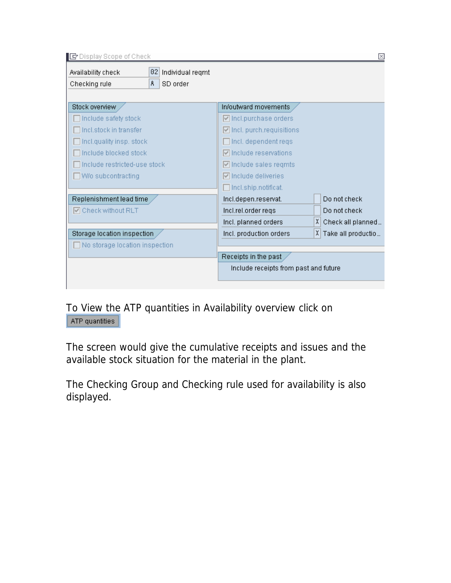| E Display Scope of Check                                                       |                                                  | ⊠                        |
|--------------------------------------------------------------------------------|--------------------------------------------------|--------------------------|
| 02<br>Individual regmt<br>Availability check<br>A<br>SD order<br>Checking rule |                                                  |                          |
| Stock overview                                                                 | In/outward movements                             |                          |
| Include safety stock                                                           | $\boxed{\triangledown}$ Incl.purchase orders     |                          |
| Incl.stock in transfer                                                         | $\boxed{\triangledown}$ Incl. purch.requisitions |                          |
| Incl.quality insp. stock                                                       | $\Box$ Incl. dependent reqs                      |                          |
| Include blocked stock                                                          | $\triangledown$ include reservations             |                          |
| Include restricted-use stock                                                   | $\boxed{\triangledown}$ include sales reqmts     |                          |
| W/o subcontracting                                                             | $\nabla$ include deliveries                      |                          |
|                                                                                | $\Box$ Incl.ship.notificat.                      |                          |
| Replenishment lead time                                                        | Incl.depen.reservat.                             | Do not check             |
| <b>☑</b> Check without RLT                                                     | Incl.rel.order regs                              | Do not check             |
|                                                                                | Incl. planned orders                             | ΧI<br>Check all planned  |
| Storage location inspection                                                    | Incl. production orders                          | ΧI<br>Take all productio |
| No storage location inspection                                                 |                                                  |                          |
|                                                                                | Receipts in the past                             |                          |
|                                                                                | Include receipts from past and future            |                          |
|                                                                                |                                                  |                          |

To View the ATP quantities in Availability overview click on

The screen would give the cumulative receipts and issues and the available stock situation for the material in the plant.

The Checking Group and Checking rule used for availability is also displayed.